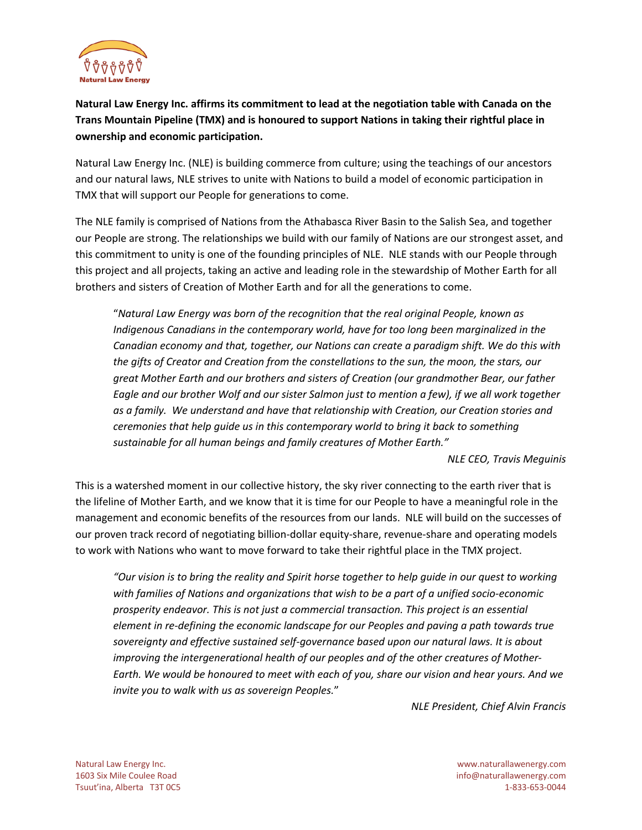

**Natural Law Energy Inc. affirms its commitment to lead at the negotiation table with Canada on the Trans Mountain Pipeline (TMX) and is honoured to support Nations in taking their rightful place in ownership and economic participation.**

Natural Law Energy Inc. (NLE) is building commerce from culture; using the teachings of our ancestors and our natural laws, NLE strives to unite with Nations to build a model of economic participation in TMX that will support our People for generations to come.

The NLE family is comprised of Nations from the Athabasca River Basin to the Salish Sea, and together our People are strong. The relationships we build with our family of Nations are our strongest asset, and this commitment to unity is one of the founding principles of NLE. NLE stands with our People through this project and all projects, taking an active and leading role in the stewardship of Mother Earth for all brothers and sisters of Creation of Mother Earth and for all the generations to come.

"*Natural Law Energy was born of the recognition that the real original People, known as Indigenous Canadians in the contemporary world, have for too long been marginalized in the Canadian economy and that, together, our Nations can create a paradigm shift. We do this with the gifts of Creator and Creation from the constellations to the sun, the moon, the stars, our great Mother Earth and our brothers and sisters of Creation (our grandmother Bear, our father Eagle and our brother Wolf and our sister Salmon just to mention a few), if we all work together as a family. We understand and have that relationship with Creation, our Creation stories and ceremonies that help guide us in this contemporary world to bring it back to something sustainable for all human beings and family creatures of Mother Earth."*

*NLE CEO, Travis Meguinis*

This is a watershed moment in our collective history, the sky river connecting to the earth river that is the lifeline of Mother Earth, and we know that it is time for our People to have a meaningful role in the management and economic benefits of the resources from our lands. NLE will build on the successes of our proven track record of negotiating billion-dollar equity-share, revenue-share and operating models to work with Nations who want to move forward to take their rightful place in the TMX project.

*"Our vision is to bring the reality and Spirit horse together to help guide in our quest to working with families of Nations and organizations that wish to be a part of a unified socio-economic prosperity endeavor. This is not just a commercial transaction. This project is an essential element in re-defining the economic landscape for our Peoples and paving a path towards true sovereignty and effective sustained self-governance based upon our natural laws. It is about improving the intergenerational health of our peoples and of the other creatures of Mother-Earth. We would be honoured to meet with each of you, share our vision and hear yours. And we invite you to walk with us as sovereign Peoples.*"

*NLE President, Chief Alvin Francis*